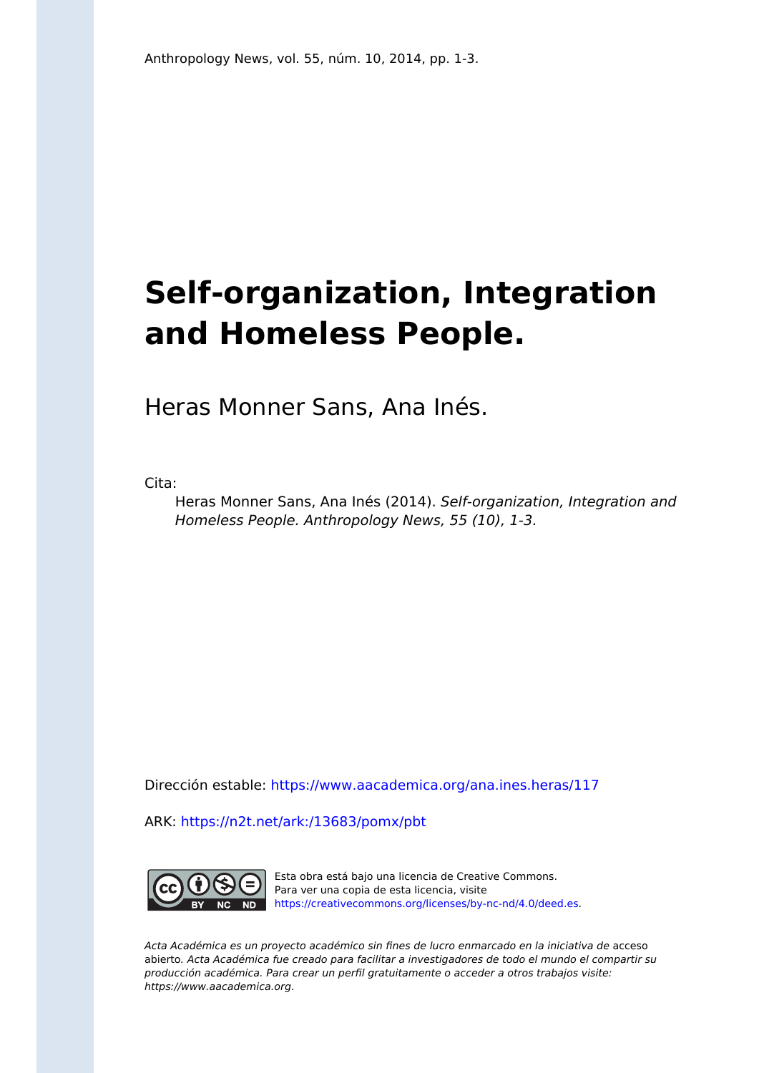## **Self-organization, Integration and Homeless People.**

Heras Monner Sans, Ana Inés.

Cita:

Heras Monner Sans, Ana Inés (2014). Self-organization, Integration and Homeless People. Anthropology News, 55 (10), 1-3.

Dirección estable:<https://www.aacademica.org/ana.ines.heras/117>

ARK: <https://n2t.net/ark:/13683/pomx/pbt>



Esta obra está bajo una licencia de Creative Commons. Para ver una copia de esta licencia, visite [https://creativecommons.org/licenses/by-nc-nd/4.0/deed.es.](https://creativecommons.org/licenses/by-nc-nd/4.0/deed.es)

Acta Académica es un proyecto académico sin fines de lucro enmarcado en la iniciativa de acceso abierto. Acta Académica fue creado para facilitar a investigadores de todo el mundo el compartir su producción académica. Para crear un perfil gratuitamente o acceder a otros trabajos visite: https://www.aacademica.org.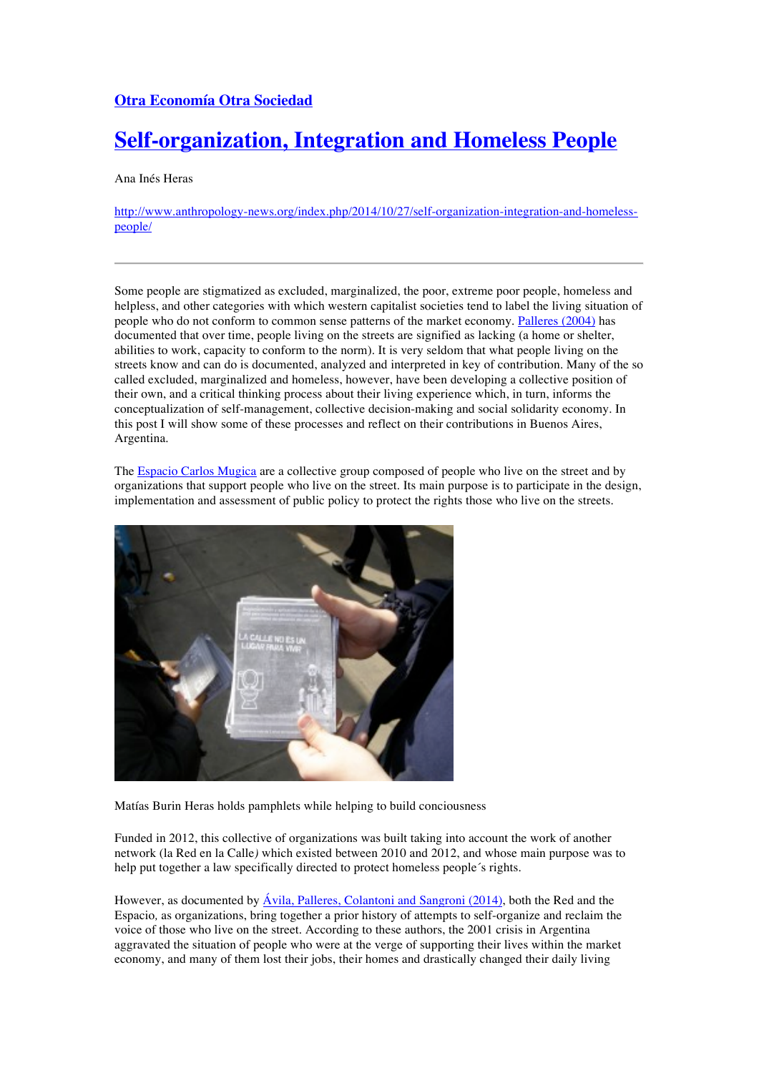## **Otra Economía Otra Sociedad**

## **Self-organization, Integration and Homeless People**

Ana Inés Heras

http://www.anthropology-news.org/index.php/2014/10/27/self-organization-integration-and-homelesspeople/

Some people are stigmatized as excluded, marginalized, the poor, extreme poor people, homeless and helpless, and other categories with which western capitalist societies tend to label the living situation of people who do not conform to common sense patterns of the market economy. Palleres (2004) has documented that over time, people living on the streets are signified as lacking (a home or shelter, abilities to work, capacity to conform to the norm). It is very seldom that what people living on the streets know and can do is documented, analyzed and interpreted in key of contribution. Many of the so called excluded, marginalized and homeless, however, have been developing a collective position of their own, and a critical thinking process about their living experience which, in turn, informs the conceptualization of self-management, collective decision-making and social solidarity economy. In this post I will show some of these processes and reflect on their contributions in Buenos Aires, Argentina.

The Espacio Carlos Mugica are a collective group composed of people who live on the street and by organizations that support people who live on the street. Its main purpose is to participate in the design, implementation and assessment of public policy to protect the rights those who live on the streets.



Matías Burin Heras holds pamphlets while helping to build conciousness

Funded in 2012, this collective of organizations was built taking into account the work of another network (la Red en la Calle*)* which existed between 2010 and 2012, and whose main purpose was to help put together a law specifically directed to protect homeless people´s rights.

However, as documented by Ávila, Palleres, Colantoni and Sangroni (2014), both the Red and the Espacio*,* as organizations, bring together a prior history of attempts to self-organize and reclaim the voice of those who live on the street. According to these authors, the 2001 crisis in Argentina aggravated the situation of people who were at the verge of supporting their lives within the market economy, and many of them lost their jobs, their homes and drastically changed their daily living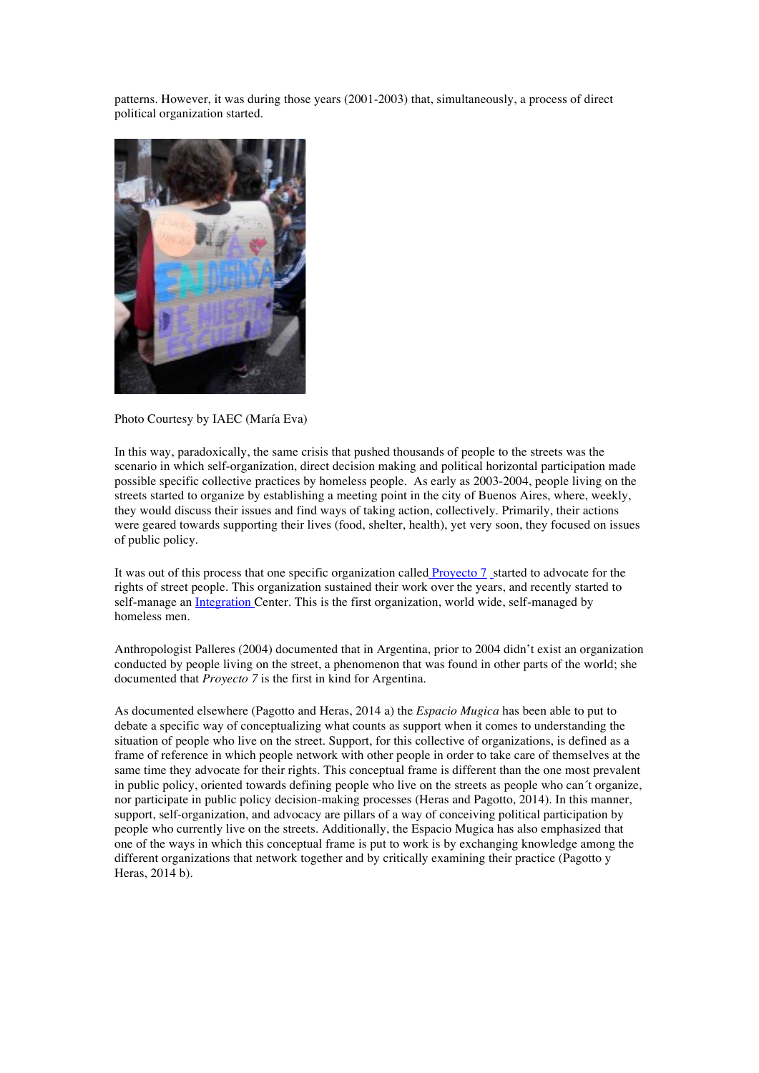patterns. However, it was during those years (2001-2003) that, simultaneously, a process of direct political organization started.



Photo Courtesy by IAEC (María Eva)

In this way, paradoxically, the same crisis that pushed thousands of people to the streets was the scenario in which self-organization, direct decision making and political horizontal participation made possible specific collective practices by homeless people. As early as 2003-2004, people living on the streets started to organize by establishing a meeting point in the city of Buenos Aires, where, weekly, they would discuss their issues and find ways of taking action, collectively. Primarily, their actions were geared towards supporting their lives (food, shelter, health), yet very soon, they focused on issues of public policy.

It was out of this process that one specific organization called Proyecto 7 started to advocate for the rights of street people. This organization sustained their work over the years, and recently started to self-manage an Integration Center. This is the first organization, world wide, self-managed by homeless men.

Anthropologist Palleres (2004) documented that in Argentina, prior to 2004 didn't exist an organization conducted by people living on the street, a phenomenon that was found in other parts of the world; she documented that *Proyecto 7* is the first in kind for Argentina.

As documented elsewhere (Pagotto and Heras, 2014 a) the *Espacio Mugica* has been able to put to debate a specific way of conceptualizing what counts as support when it comes to understanding the situation of people who live on the street. Support, for this collective of organizations, is defined as a frame of reference in which people network with other people in order to take care of themselves at the same time they advocate for their rights. This conceptual frame is different than the one most prevalent in public policy, oriented towards defining people who live on the streets as people who can´t organize, nor participate in public policy decision-making processes (Heras and Pagotto, 2014). In this manner, support, self-organization, and advocacy are pillars of a way of conceiving political participation by people who currently live on the streets. Additionally, the Espacio Mugica has also emphasized that one of the ways in which this conceptual frame is put to work is by exchanging knowledge among the different organizations that network together and by critically examining their practice (Pagotto y Heras, 2014 b).